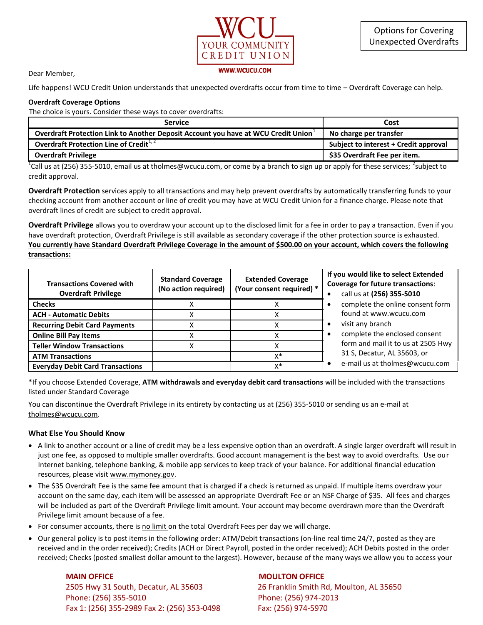

Dear Member,

Life happens! WCU Credit Union understands that unexpected overdrafts occur from time to time – Overdraft Coverage can help.

## **Overdraft Coverage Options**

The choice is yours. Consider these ways to cover overdrafts:

| <b>Service</b>                                                                    | Cost                                  |
|-----------------------------------------------------------------------------------|---------------------------------------|
| Overdraft Protection Link to Another Deposit Account you have at WCU Credit Union | No charge per transfer                |
| Overdraft Protection Line of Credit $1/2$                                         | Subject to interest + Credit approval |
| <b>Overdraft Privilege</b>                                                        | \$35 Overdraft Fee per item.          |

<sup>1</sup>Call us at (256) 355-5010, email us at tholmes@wcucu.com, or come by a branch to sign up or apply for these services; <sup>2</sup>subject to credit approval.

**Overdraft Protection** services apply to all transactions and may help prevent overdrafts by automatically transferring funds to your checking account from another account or line of credit you may have at WCU Credit Union for a finance charge. Please note that overdraft lines of credit are subject to credit approval.

**Overdraft Privilege** allows you to overdraw your account up to the disclosed limit for a fee in order to pay a transaction. Even if you have overdraft protection, Overdraft Privilege is still available as secondary coverage if the other protection source is exhausted. **You currently have Standard Overdraft Privilege Coverage in the amount of \$500.00 on your account, which covers the following transactions:** 

| <b>Transactions Covered with</b><br><b>Overdraft Privilege</b> | <b>Standard Coverage</b><br>(No action required) | <b>Extended Coverage</b><br>(Your consent required) * | If you would like to select Extended<br><b>Coverage for future transactions:</b><br>call us at (256) 355-5010 |
|----------------------------------------------------------------|--------------------------------------------------|-------------------------------------------------------|---------------------------------------------------------------------------------------------------------------|
| <b>Checks</b>                                                  |                                                  |                                                       | complete the online consent form                                                                              |
| <b>ACH - Automatic Debits</b>                                  |                                                  |                                                       | found at www.wcucu.com                                                                                        |
| <b>Recurring Debit Card Payments</b>                           |                                                  |                                                       | visit any branch<br>-                                                                                         |
| <b>Online Bill Pay Items</b>                                   |                                                  |                                                       | complete the enclosed consent                                                                                 |
| <b>Teller Window Transactions</b>                              |                                                  |                                                       | form and mail it to us at 2505 Hwy<br>31 S, Decatur, AL 35603, or<br>e-mail us at tholmes@wcucu.com           |
| <b>ATM Transactions</b>                                        |                                                  | X*                                                    |                                                                                                               |
| <b>Everyday Debit Card Transactions</b>                        |                                                  | v*                                                    |                                                                                                               |

\*If you choose Extended Coverage, **ATM withdrawals and everyday debit card transactions** will be included with the transactions listed under Standard Coverage

You can discontinue the Overdraft Privilege in its entirety by contacting us at (256) 355-5010 or sending us an e-mail at [tholmes@wcucu.com.](mailto:tholmes@wcucu.com)

## **What Else You Should Know**

- A link to another account or a line of credit may be a less expensive option than an overdraft. A single larger overdraft will result in just one fee, as opposed to multiple smaller overdrafts. Good account management is the best way to avoid overdrafts. Use our Internet banking, telephone banking, & mobile app services to keep track of your balance. For additional financial education resources, please visi[t www.mymoney.gov.](http://www.mymoney.gov/)
- The \$35 Overdraft Fee is the same fee amount that is charged if a check is returned as unpaid. If multiple items overdraw your account on the same day, each item will be assessed an appropriate Overdraft Fee or an NSF Charge of \$35. All fees and charges will be included as part of the Overdraft Privilege limit amount. Your account may become overdrawn more than the Overdraft Privilege limit amount because of a fee.
- For consumer accounts, there is no limit on the total Overdraft Fees per day we will charge.
- Our general policy is to post items in the following order: ATM/Debit transactions (on-line real time 24/7, posted as they are received and in the order received); Credits (ACH or Direct Payroll, posted in the order received); ACH Debits posted in the order received; Checks (posted smallest dollar amount to the largest). However, because of the many ways we allow you to access your

## **MAIN OFFICE MOULTON OFFICE**  2505 Hwy 31 South, Decatur, AL 35603 26 Franklin Smith Rd, Moulton, AL 35650 Phone: (256) 355-5010 Phone: (256) 974-2013 Fax 1: (256) 355-2989 Fax 2: (256) 353-0498 Fax: (256) 974-5970